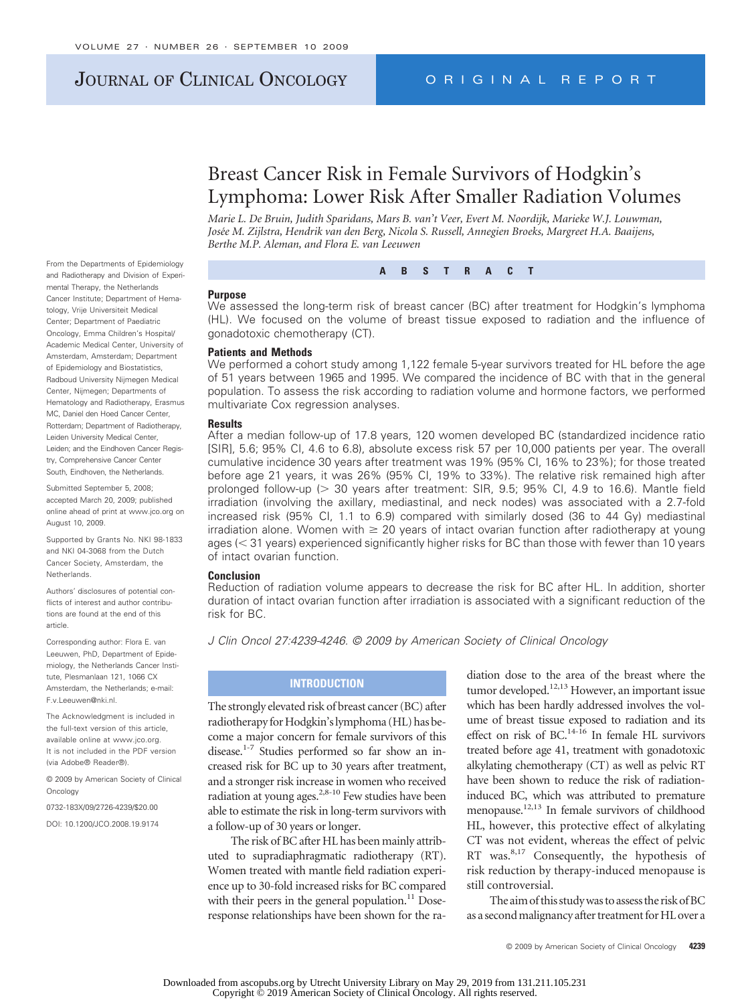## JOURNAL OF CLINICAL ONCOLOGY ORIGINAL REPORT

# Breast Cancer Risk in Female Survivors of Hodgkin's Lymphoma: Lower Risk After Smaller Radiation Volumes

*Jose´e M. Zijlstra, Hendrik van den Berg, Nicola S. Russell, Annegien Broeks, Margreet H.A. Baaijens, Berthe M.P. Aleman, and Flora E. van Leeuwen*

From the Departments of Epidemiology and Radiotherapy and Division of Experimental Therapy, the Netherlands Cancer Institute; Department of Hematology, Vrije Universiteit Medical Center; Department of Paediatric Oncology, Emma Children's Hospital/ Academic Medical Center, University of Amsterdam, Amsterdam; Department of Epidemiology and Biostatistics, Radboud University Nijmegen Medical Center, Nijmegen; Departments of Hematology and Radiotherapy, Erasmus MC, Daniel den Hoed Cancer Center, Rotterdam; Department of Radiotherapy, Leiden University Medical Center, Leiden; and the Eindhoven Cancer Registry, Comprehensive Cancer Center South, Eindhoven, the Netherlands.

Submitted September 5, 2008; accepted March 20, 2009; published online ahead of print at www.jco.org on August 10, 2009.

Supported by Grants No. NKI 98-1833 and NKI 04-3068 from the Dutch Cancer Society, Amsterdam, the Netherlands.

Authors' disclosures of potential conflicts of interest and author contributions are found at the end of this article.

Corresponding author: Flora E. van Leeuwen, PhD, Department of Epidemiology, the Netherlands Cancer Institute, Plesmanlaan 121, 1066 CX Amsterdam, the Netherlands; e-mail: F.v.Leeuwen@nki.nl.

The Acknowledgment is included in the full-text version of this article, available online at www.jco.org. It is not included in the PDF version (via Adobe® Reader®).

© 2009 by American Society of Clinical **Oncology** 

0732-183X/09/2726-4239/\$20.00

DOI: 10.1200/JCO.2008.19.9174

*Marie L. De Bruin, Judith Sparidans, Mars B. van't Veer, Evert M. Noordijk, Marieke W.J. Louwman,*

**ABSTRACT**

#### **Purpose**

We assessed the long-term risk of breast cancer (BC) after treatment for Hodgkin's lymphoma (HL). We focused on the volume of breast tissue exposed to radiation and the influence of gonadotoxic chemotherapy (CT).

#### **Patients and Methods**

We performed a cohort study among 1,122 female 5-year survivors treated for HL before the age of 51 years between 1965 and 1995. We compared the incidence of BC with that in the general population. To assess the risk according to radiation volume and hormone factors, we performed multivariate Cox regression analyses.

#### **Results**

After a median follow-up of 17.8 years, 120 women developed BC (standardized incidence ratio [SIR], 5.6; 95% CI, 4.6 to 6.8), absolute excess risk 57 per 10,000 patients per year. The overall cumulative incidence 30 years after treatment was 19% (95% CI, 16% to 23%); for those treated before age 21 years, it was 26% (95% CI, 19% to 33%). The relative risk remained high after prolonged follow-up (> 30 years after treatment: SIR, 9.5; 95% CI, 4.9 to 16.6). Mantle field irradiation (involving the axillary, mediastinal, and neck nodes) was associated with a 2.7-fold increased risk (95% CI, 1.1 to 6.9) compared with similarly dosed (36 to 44 Gy) mediastinal irradiation alone. Women with  $\geq 20$  years of intact ovarian function after radiotherapy at young ages (< 31 years) experienced significantly higher risks for BC than those with fewer than 10 years of intact ovarian function.

#### **Conclusion**

Reduction of radiation volume appears to decrease the risk for BC after HL. In addition, shorter duration of intact ovarian function after irradiation is associated with a significant reduction of the risk for BC.

*J Clin Oncol 27:4239-4246. © 2009 by American Society of Clinical Oncology*

## **INTRODUCTION**

The strongly elevated risk of breast cancer (BC) after radiotherapy for Hodgkin's lymphoma (HL) has become a major concern for female survivors of this disease.<sup>1-7</sup> Studies performed so far show an increased risk for BC up to 30 years after treatment, and a stronger risk increase in women who received radiation at young ages.<sup>2,8-10</sup> Few studies have been able to estimate the risk in long-term survivors with a follow-up of 30 years or longer.

The risk of BC after HL has been mainly attributed to supradiaphragmatic radiotherapy (RT). Women treated with mantle field radiation experience up to 30-fold increased risks for BC compared with their peers in the general population.<sup>11</sup> Doseresponse relationships have been shown for the radiation dose to the area of the breast where the tumor developed.<sup>12,13</sup> However, an important issue which has been hardly addressed involves the volume of breast tissue exposed to radiation and its effect on risk of BC.<sup>14-16</sup> In female HL survivors treated before age 41, treatment with gonadotoxic alkylating chemotherapy (CT) as well as pelvic RT have been shown to reduce the risk of radiationinduced BC, which was attributed to premature menopause.12,13 In female survivors of childhood HL, however, this protective effect of alkylating CT was not evident, whereas the effect of pelvic RT was.<sup>8,17</sup> Consequently, the hypothesis of risk reduction by therapy-induced menopause is still controversial.

The aim of this study was to assess the risk of BC as a second malignancy after treatment for HL over a

© 2009 by American Society of Clinical Oncology **4239**

Downloaded from ascopubs.org by Utrecht University Library on May 29, 2019 from 131.211.105.231 Copyright © 2019 American Society of Clinical Oncology. All rights reserved.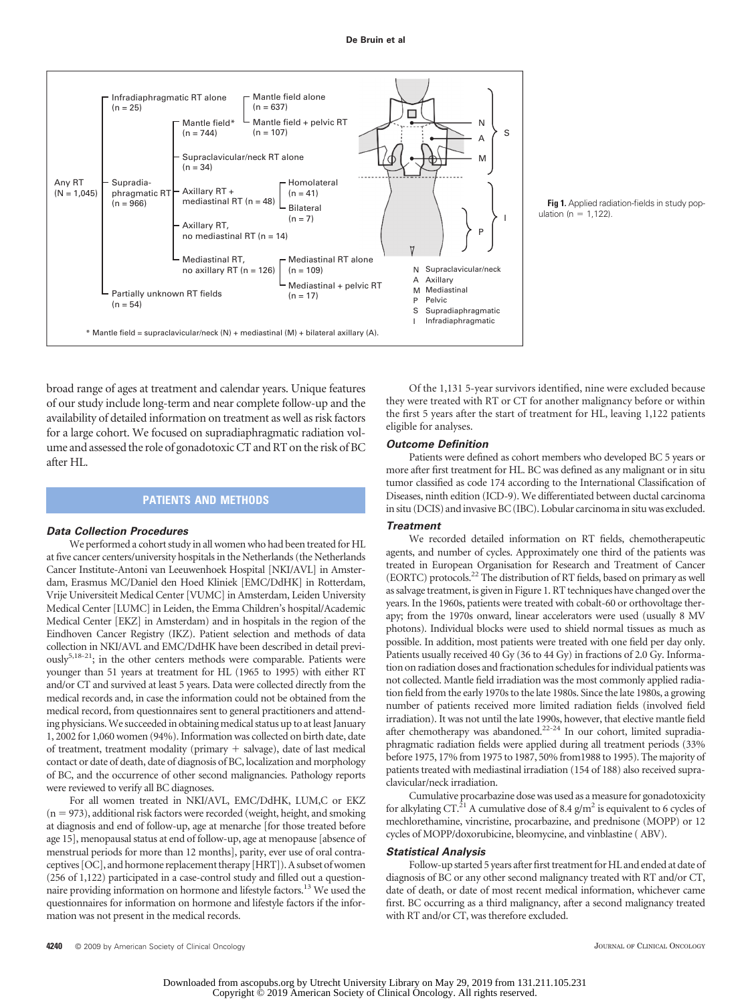

broad range of ages at treatment and calendar years. Unique features of our study include long-term and near complete follow-up and the availability of detailed information on treatment as well as risk factors for a large cohort. We focused on supradiaphragmatic radiation volume and assessed the role of gonadotoxic CT and RT on the risk of BC after HL.

#### **PATIENTS AND METHODS**

#### *Data Collection Procedures*

We performed a cohort study in all women who had been treated for HL at five cancer centers/university hospitals in the Netherlands (the Netherlands Cancer Institute-Antoni van Leeuwenhoek Hospital [NKI/AVL] in Amsterdam, Erasmus MC/Daniel den Hoed Kliniek [EMC/DdHK] in Rotterdam, Vrije Universiteit Medical Center [VUMC] in Amsterdam, Leiden University Medical Center [LUMC] in Leiden, the Emma Children's hospital/Academic Medical Center [EKZ] in Amsterdam) and in hospitals in the region of the Eindhoven Cancer Registry (IKZ). Patient selection and methods of data collection in NKI/AVL and EMC/DdHK have been described in detail previously5,18-21; in the other centers methods were comparable. Patients were younger than 51 years at treatment for HL (1965 to 1995) with either RT and/or CT and survived at least 5 years. Data were collected directly from the medical records and, in case the information could not be obtained from the medical record, from questionnaires sent to general practitioners and attending physicians. We succeeded in obtaining medical status up to at least January 1, 2002 for 1,060 women (94%). Information was collected on birth date, date of treatment, treatment modality (primary  $+$  salvage), date of last medical contact or date of death, date of diagnosis of BC, localization and morphology of BC, and the occurrence of other second malignancies. Pathology reports were reviewed to verify all BC diagnoses.

For all women treated in NKI/AVL, EMC/DdHK, LUM,C or EKZ  $(n = 973)$ , additional risk factors were recorded (weight, height, and smoking at diagnosis and end of follow-up, age at menarche [for those treated before age 15], menopausal status at end of follow-up, age at menopause [absence of menstrual periods for more than 12 months], parity, ever use of oral contraceptives [OC], and hormone replacement therapy [HRT]). A subset of women (256 of 1,122) participated in a case-control study and filled out a questionnaire providing information on hormone and lifestyle factors.13 We used the questionnaires for information on hormone and lifestyle factors if the information was not present in the medical records.

ulation ( $n = 1.122$ ).

**Fig 1.** Applied radiation-fields in study pop-

Of the 1,131 5-year survivors identified, nine were excluded because they were treated with RT or CT for another malignancy before or within the first 5 years after the start of treatment for HL, leaving 1,122 patients eligible for analyses.

#### *Outcome Definition*

Patients were defined as cohort members who developed BC 5 years or more after first treatment for HL. BC was defined as any malignant or in situ tumor classified as code 174 according to the International Classification of Diseases, ninth edition (ICD-9). We differentiated between ductal carcinoma in situ (DCIS) and invasive BC (IBC). Lobular carcinoma in situ was excluded.

#### *Treatment*

We recorded detailed information on RT fields, chemotherapeutic agents, and number of cycles. Approximately one third of the patients was treated in European Organisation for Research and Treatment of Cancer (EORTC) protocols.22 The distribution of RT fields, based on primary as well as salvage treatment, is given in Figure 1. RT techniques have changed over the years. In the 1960s, patients were treated with cobalt-60 or orthovoltage therapy; from the 1970s onward, linear accelerators were used (usually 8 MV photons). Individual blocks were used to shield normal tissues as much as possible. In addition, most patients were treated with one field per day only. Patients usually received 40 Gy (36 to 44 Gy) in fractions of 2.0 Gy. Information on radiation doses and fractionation schedules for individual patients was not collected. Mantle field irradiation was the most commonly applied radiation field from the early 1970s to the late 1980s. Since the late 1980s, a growing number of patients received more limited radiation fields (involved field irradiation). It was not until the late 1990s, however, that elective mantle field after chemotherapy was abandoned.<sup>22-24</sup> In our cohort, limited supradiaphragmatic radiation fields were applied during all treatment periods (33% before 1975, 17% from 1975 to 1987, 50% from1988 to 1995). The majority of patients treated with mediastinal irradiation (154 of 188) also received supraclavicular/neck irradiation.

Cumulative procarbazine dose was used as a measure for gonadotoxicity for alkylating CT.<sup>21</sup> A cumulative dose of 8.4  $g/m^2$  is equivalent to 6 cycles of mechlorethamine, vincristine, procarbazine, and prednisone (MOPP) or 12 cycles of MOPP/doxorubicine, bleomycine, and vinblastine ( ABV).

#### *Statistical Analysis*

Follow-up started 5 years after first treatment for HL and ended at date of diagnosis of BC or any other second malignancy treated with RT and/or CT, date of death, or date of most recent medical information, whichever came first. BC occurring as a third malignancy, after a second malignancy treated with RT and/or CT, was therefore excluded.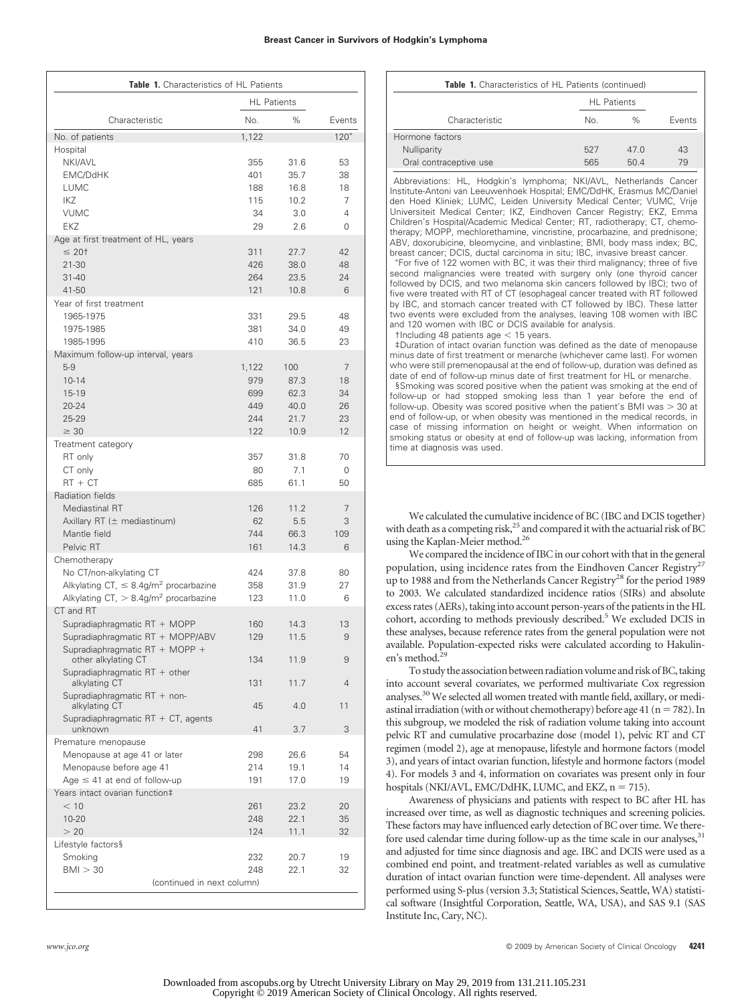| Table 1. Characteristics of HL Patients                                                                                                                    |                                          |                                             |                                 |  |  |  |  |  |
|------------------------------------------------------------------------------------------------------------------------------------------------------------|------------------------------------------|---------------------------------------------|---------------------------------|--|--|--|--|--|
|                                                                                                                                                            | <b>HL</b> Patients                       |                                             |                                 |  |  |  |  |  |
| Characteristic                                                                                                                                             | No.                                      | %                                           | Events                          |  |  |  |  |  |
| No. of patients                                                                                                                                            | 1,122                                    |                                             | $120*$                          |  |  |  |  |  |
| Hospital<br>NKI/AVL<br><b>EMC/DdHK</b><br>LUMC<br><b>IKZ</b><br><b>VUMC</b><br><b>EKZ</b>                                                                  | 355<br>401<br>188<br>115<br>34<br>29     | 31.6<br>35.7<br>16.8<br>10.2<br>3.0<br>2.6  | 53<br>38<br>18<br>7<br>4<br>0   |  |  |  |  |  |
| Age at first treatment of HL, years<br>$\leq 20$ t<br>21-30<br>$31 - 40$<br>41-50                                                                          | 311<br>426<br>264<br>121                 | 27.7<br>38.0<br>23.5<br>10.8                | 42<br>48<br>24<br>6             |  |  |  |  |  |
| Year of first treatment<br>1965-1975<br>1975-1985<br>1985-1995                                                                                             | 331<br>381<br>410                        | 29.5<br>34.0<br>36.5                        | 48<br>49<br>23                  |  |  |  |  |  |
| Maximum follow-up interval, years<br>$5 - 9$<br>$10 - 14$<br>15-19<br>$20 - 24$<br>25-29<br>$\geq 30$                                                      | 1,122<br>979<br>699<br>449<br>244<br>122 | 100<br>87.3<br>62.3<br>40.0<br>21.7<br>10.9 | 7<br>18<br>34<br>26<br>23<br>12 |  |  |  |  |  |
| Treatment category<br>RT only<br>CT only<br>$RT + CT$                                                                                                      | 357<br>80<br>685                         | 31.8<br>7.1<br>61.1                         | 70<br>0<br>50                   |  |  |  |  |  |
| Radiation fields<br>Mediastinal RT<br>Axillary RT $(\pm$ mediastinum)<br>Mantle field<br>Pelvic RT                                                         | 126<br>62<br>744<br>161                  | 11.2<br>5.5<br>66.3<br>14.3                 | 7<br>3<br>109<br>6              |  |  |  |  |  |
| Chemotherapy<br>No CT/non-alkylating CT<br>Alkylating CT, $\leq 8.4$ g/m <sup>2</sup> procarbazine<br>Alkylating CT, $> 8.4$ g/m <sup>2</sup> procarbazine | 424<br>358<br>123                        | 37.8<br>31.9<br>11.0                        | 80<br>27<br>6                   |  |  |  |  |  |
| CT and RT<br>Supradiaphragmatic RT + MOPP<br>Supradiaphragmatic RT + MOPP/ABV<br>Supradiaphragmatic RT + MOPP +                                            | 160<br>129                               | 14.3<br>11.5                                | 13<br>9                         |  |  |  |  |  |
| other alkylating CT<br>Supradiaphragmatic RT + other                                                                                                       | 134                                      | 11.9                                        | 9                               |  |  |  |  |  |
| alkylating CT<br>Supradiaphragmatic RT + non-                                                                                                              | 131                                      | 11.7                                        | $\overline{4}$                  |  |  |  |  |  |
| alkylating CT<br>Supradiaphragmatic $RT + CT$ , agents                                                                                                     | 45                                       | 4.0                                         | 11                              |  |  |  |  |  |
| unknown<br>Premature menopause                                                                                                                             | 41                                       | 3.7                                         | 3                               |  |  |  |  |  |
| Menopause at age 41 or later<br>Menopause before age 41<br>Age $\leq$ 41 at end of follow-up                                                               | 298<br>214<br>191                        | 26.6<br>19.1<br>17.0                        | 54<br>14<br>19                  |  |  |  |  |  |
| Years intact ovarian function‡<br>< 10<br>$10 - 20$<br>> 20                                                                                                | 261<br>248<br>124                        | 23.2<br>22.1<br>11.1                        | 20<br>35<br>32                  |  |  |  |  |  |
| Lifestyle factors§<br>Smoking<br>BMI > 30<br>(continued in next column)                                                                                    | 232<br>248                               | 20.7<br>22.1                                | 19<br>32                        |  |  |  |  |  |

| <b>Table 1.</b> Characteristics of HL Patients (continued) |                    |      |        |  |  |  |
|------------------------------------------------------------|--------------------|------|--------|--|--|--|
|                                                            | <b>HL</b> Patients |      |        |  |  |  |
| Characteristic                                             | No.                | $\%$ | Events |  |  |  |
| Hormone factors                                            |                    |      |        |  |  |  |
| Nulliparity                                                | 527                | 47.0 | 43     |  |  |  |
| Oral contraceptive use                                     | 565                | 50.4 | 79     |  |  |  |

Abbreviations: HL, Hodgkin's lymphoma; NKI/AVL, Netherlands Cancer Institute-Antoni van Leeuwenhoek Hospital; EMC/DdHK, Erasmus MC/Daniel den Hoed Kliniek; LUMC, Leiden University Medical Center; VUMC, Vrije Universiteit Medical Center; IKZ, Eindhoven Cancer Registry; EKZ, Emma Children's Hospital/Academic Medical Center; RT, radiotherapy; CT, chemotherapy; MOPP, mechlorethamine, vincristine, procarbazine, and prednisone; ABV, doxorubicine, bleomycine, and vinblastine; BMI, body mass index; BC, breast cancer; DCIS, ductal carcinoma in situ; IBC, invasive breast cancer.

 For five of 122 women with BC, it was their third malignancy; three of five second malignancies were treated with surgery only (one thyroid cancer followed by DCIS, and two melanoma skin cancers followed by IBC); two of five were treated with RT of CT (esophageal cancer treated with RT followed by IBC, and stomach cancer treated with CT followed by IBC). These latter two events were excluded from the analyses, leaving 108 women with IBC and 120 women with IBC or DCIS available for analysis.

 $t$ Including 48 patients age  $<$  15 years.

‡Duration of intact ovarian function was defined as the date of menopause minus date of first treatment or menarche (whichever came last). For women who were still premenopausal at the end of follow-up, duration was defined as date of end of follow-up minus date of first treatment for HL or menarche. §Smoking was scored positive when the patient was smoking at the end of follow-up or had stopped smoking less than 1 year before the end of follow-up. Obesity was scored positive when the patient's BMI was  $>$  30 at end of follow-up, or when obesity was mentioned in the medical records, in case of missing information on height or weight. When information on smoking status or obesity at end of follow-up was lacking, information from time at diagnosis was used.

We calculated the cumulative incidence of BC (IBC and DCIS together) with death as a competing risk, $^{25}$  and compared it with the actuarial risk of BC using the Kaplan-Meier method.26

We compared the incidence of IBC in our cohort with that in the general population, using incidence rates from the Eindhoven Cancer Registry<sup>27</sup> up to 1988 and from the Netherlands Cancer Registry28 for the period 1989 to 2003. We calculated standardized incidence ratios (SIRs) and absolute excess rates (AERs), taking into account person-years of the patients in the HL cohort, according to methods previously described.<sup>5</sup> We excluded DCIS in these analyses, because reference rates from the general population were not available. Population-expected risks were calculated according to Hakulinen's method.<sup>29</sup>

To study the association between radiation volume and risk of BC, taking into account several covariates, we performed multivariate Cox regression analyses.30 We selected all women treated with mantle field, axillary, or mediastinal irradiation (with or without chemotherapy) before age 41 ( $n = 782$ ). In this subgroup, we modeled the risk of radiation volume taking into account pelvic RT and cumulative procarbazine dose (model 1), pelvic RT and CT regimen (model 2), age at menopause, lifestyle and hormone factors (model 3), and years of intact ovarian function, lifestyle and hormone factors (model 4). For models 3 and 4, information on covariates was present only in four hospitals (NKI/AVL, EMC/DdHK, LUMC, and EKZ,  $n = 715$ ).

Awareness of physicians and patients with respect to BC after HL has increased over time, as well as diagnostic techniques and screening policies. These factors may have influenced early detection of BC over time. We therefore used calendar time during follow-up as the time scale in our analyses,<sup>31</sup> and adjusted for time since diagnosis and age. IBC and DCIS were used as a combined end point, and treatment-related variables as well as cumulative duration of intact ovarian function were time-dependent. All analyses were performed using S-plus (version 3.3; Statistical Sciences, Seattle, WA) statistical software (Insightful Corporation, Seattle, WA, USA), and SAS 9.1 (SAS Institute Inc, Cary, NC).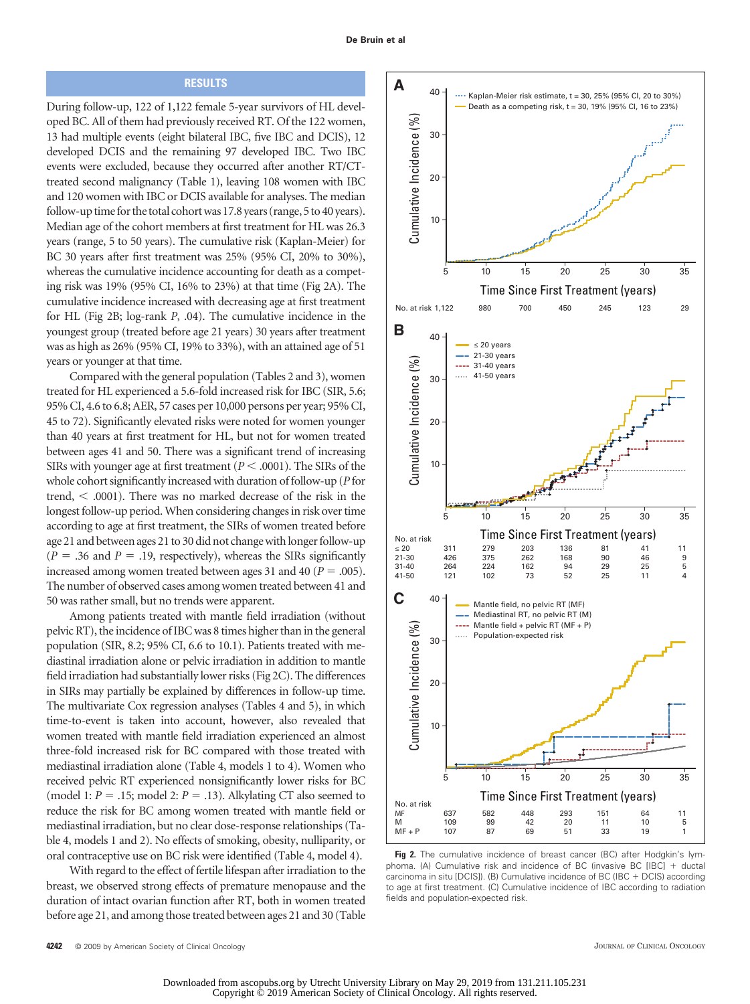## **RESULTS**

During follow-up, 122 of 1,122 female 5-year survivors of HL developed BC. All of them had previously received RT. Of the 122 women, 13 had multiple events (eight bilateral IBC, five IBC and DCIS), 12 developed DCIS and the remaining 97 developed IBC. Two IBC events were excluded, because they occurred after another RT/CTtreated second malignancy (Table 1), leaving 108 women with IBC and 120 women with IBC or DCIS available for analyses. The median follow-up time for the total cohort was 17.8 years (range, 5 to 40 years). Median age of the cohort members at first treatment for HL was 26.3 years (range, 5 to 50 years). The cumulative risk (Kaplan-Meier) for BC 30 years after first treatment was 25% (95% CI, 20% to 30%), whereas the cumulative incidence accounting for death as a competing risk was 19% (95% CI, 16% to 23%) at that time (Fig 2A). The cumulative incidence increased with decreasing age at first treatment for HL (Fig 2B; log-rank *P*, .04). The cumulative incidence in the youngest group (treated before age 21 years) 30 years after treatment was as high as 26% (95% CI, 19% to 33%), with an attained age of 51 years or younger at that time.

Compared with the general population (Tables 2 and 3), women treated for HL experienced a 5.6-fold increased risk for IBC (SIR, 5.6; 95% CI, 4.6 to 6.8; AER, 57 cases per 10,000 persons per year; 95% CI, 45 to 72). Significantly elevated risks were noted for women younger than 40 years at first treatment for HL, but not for women treated between ages 41 and 50. There was a significant trend of increasing SIRs with younger age at first treatment  $(P < .0001)$ . The SIRs of the whole cohort significantly increased with duration of follow-up (*P* for trend,  $\leq$  .0001). There was no marked decrease of the risk in the longest follow-up period. When considering changes in risk over time according to age at first treatment, the SIRs of women treated before age 21 and between ages 21 to 30 did not change with longer follow-up  $(P = .36$  and  $P = .19$ , respectively), whereas the SIRs significantly increased among women treated between ages 31 and 40 ( $P = .005$ ). The number of observed cases among women treated between 41 and 50 was rather small, but no trends were apparent.

Among patients treated with mantle field irradiation (without pelvic RT), the incidence of IBC was 8 times higher than in the general population (SIR, 8.2; 95% CI, 6.6 to 10.1). Patients treated with mediastinal irradiation alone or pelvic irradiation in addition to mantle field irradiation had substantially lower risks (Fig 2C). The differences in SIRs may partially be explained by differences in follow-up time. The multivariate Cox regression analyses (Tables 4 and 5), in which time-to-event is taken into account, however, also revealed that women treated with mantle field irradiation experienced an almost three-fold increased risk for BC compared with those treated with mediastinal irradiation alone (Table 4, models 1 to 4). Women who received pelvic RT experienced nonsignificantly lower risks for BC (model 1:  $P = .15$ ; model 2:  $P = .13$ ). Alkylating CT also seemed to reduce the risk for BC among women treated with mantle field or mediastinal irradiation, but no clear dose-response relationships (Table 4, models 1 and 2). No effects of smoking, obesity, nulliparity, or oral contraceptive use on BC risk were identified (Table 4, model 4).

With regard to the effect of fertile lifespan after irradiation to the breast, we observed strong effects of premature menopause and the duration of intact ovarian function after RT, both in women treated before age 21, and among those treated between ages 21 and 30 (Table



Fig 2. The cumulative incidence of breast cancer (BC) after Hodgkin's lymphoma. (A) Cumulative risk and incidence of BC (invasive BC [IBC]  $+$  ductal carcinoma in situ [DCIS]). (B) Cumulative incidence of BC (IBC + DCIS) according to age at first treatment. (C) Cumulative incidence of IBC according to radiation fields and population-expected risk.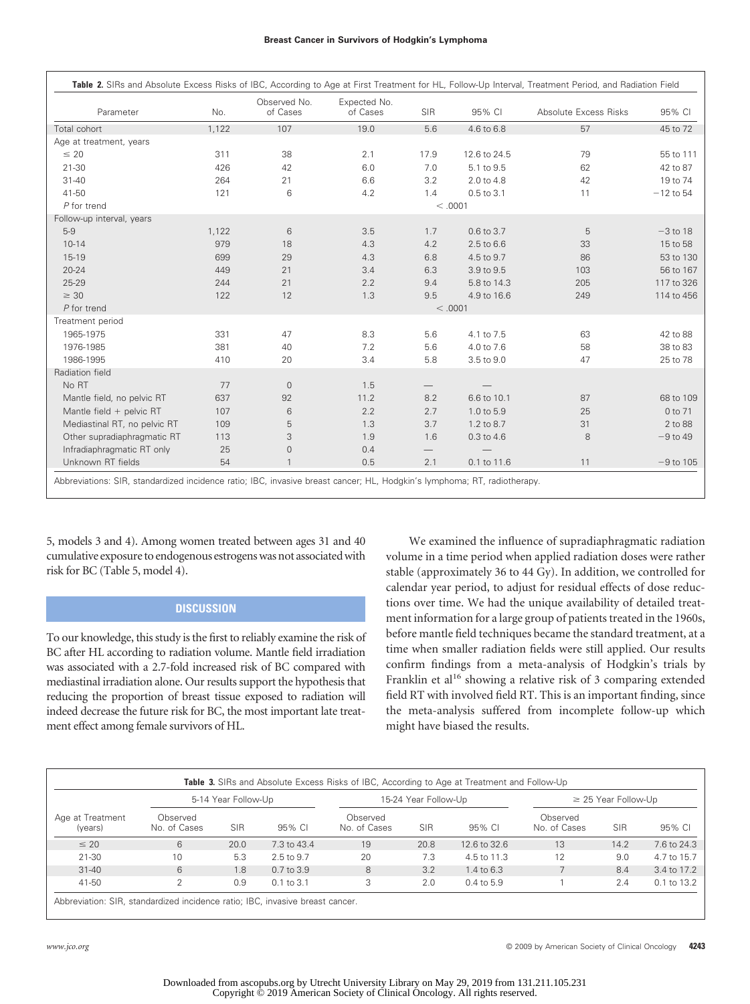| Parameter                    | No.   | Observed No.<br>of Cases | Expected No.<br>of Cases | SIR                           | 95% CI       | Absolute Excess Risks | 95% CI      |
|------------------------------|-------|--------------------------|--------------------------|-------------------------------|--------------|-----------------------|-------------|
| Total cohort                 | 1,122 | 107                      | 19.0                     | 5.6                           | 4.6 to 6.8   | 57                    | 45 to 72    |
| Age at treatment, years      |       |                          |                          |                               |              |                       |             |
| $\leq 20$                    | 311   | 38                       | 2.1                      | 17.9                          | 12.6 to 24.5 | 79                    | 55 to 111   |
| $21 - 30$                    | 426   | 42                       | 6.0                      | 7.0                           | 5.1 to 9.5   | 62                    | 42 to 87    |
| $31 - 40$                    | 264   | 21                       | 6.6                      | 3.2                           | 2.0 to 4.8   | 42                    | 19 to 74    |
| 41-50                        | 121   | 6                        | 4.2                      | 1.4                           | 0.5 to 3.1   | 11                    | $-12$ to 54 |
| P for trend                  |       |                          |                          |                               | < 0.001      |                       |             |
| Follow-up interval, years    |       |                          |                          |                               |              |                       |             |
| $5-9$                        | 1,122 | 6                        | 3.5                      | 1.7                           | 0.6 to 3.7   | 5                     | $-3$ to 18  |
| $10 - 14$                    | 979   | 18                       | 4.3                      | 4.2                           | 2.5 to 6.6   | 33                    | 15 to 58    |
| 15-19                        | 699   | 29                       | 4.3                      | 6.8                           | 4.5 to 9.7   | 86                    | 53 to 130   |
| $20 - 24$                    | 449   | 21                       | 3.4                      | 6.3                           | 3.9 to 9.5   | 103                   | 56 to 167   |
| $25 - 29$                    | 244   | 21                       | 2.2                      | 9.4                           | 5.8 to 14.3  | 205                   | 117 to 326  |
| $\geq 30$                    | 122   | 12                       | 1.3                      | 9.5                           | 4.9 to 16.6  | 249                   | 114 to 456  |
| $P$ for trend                |       |                          |                          |                               | < .0001      |                       |             |
| Treatment period             |       |                          |                          |                               |              |                       |             |
| 1965-1975                    | 331   | 47                       | 8.3                      | 5.6                           | 4.1 to 7.5   | 63                    | 42 to 88    |
| 1976-1985                    | 381   | 40                       | 7.2                      | 5.6                           | 4.0 to 7.6   | 58                    | 38 to 83    |
| 1986-1995                    | 410   | 20                       | 3.4                      | 5.8                           | 3.5 to 9.0   | 47                    | 25 to 78    |
| Radiation field              |       |                          |                          |                               |              |                       |             |
| No RT                        | 77    | $\mathbf{0}$             | 1.5                      | $\overline{\phantom{0}}$      |              |                       |             |
| Mantle field, no pelvic RT   | 637   | 92                       | 11.2                     | 8.2                           | 6.6 to 10.1  | 87                    | 68 to 109   |
| Mantle field $+$ pelvic RT   | 107   | 6                        | 2.2                      | 2.7                           | 1.0 to 5.9   | 25                    | 0 to 71     |
| Mediastinal RT, no pelvic RT | 109   | 5                        | 1.3                      | 3.7                           | 1.2 to 8.7   | 31                    | 2 to 88     |
| Other supradiaphragmatic RT  | 113   | 3                        | 1.9                      | 1.6                           | 0.3 to 4.6   | 8                     | $-9$ to 49  |
| Infradiaphragmatic RT only   | 25    | $\mathbf{0}$             | 0.4                      | $\overbrace{\phantom{13333}}$ |              |                       |             |
| Unknown RT fields            | 54    | $\mathbf{1}$             | 0.5                      | 2.1                           | 0.1 to 11.6  | 11                    | $-9$ to 105 |

5, models 3 and 4). Among women treated between ages 31 and 40 cumulative exposure to endogenous estrogens was not associated with risk for BC (Table 5, model 4).

## **DISCUSSION**

To our knowledge, this study is the first to reliably examine the risk of BC after HL according to radiation volume. Mantle field irradiation was associated with a 2.7-fold increased risk of BC compared with mediastinal irradiation alone. Our results support the hypothesis that reducing the proportion of breast tissue exposed to radiation will indeed decrease the future risk for BC, the most important late treatment effect among female survivors of HL.

We examined the influence of supradiaphragmatic radiation volume in a time period when applied radiation doses were rather stable (approximately 36 to 44 Gy). In addition, we controlled for calendar year period, to adjust for residual effects of dose reductions over time. We had the unique availability of detailed treatment information for a large group of patients treated in the 1960s, before mantle field techniques became the standard treatment, at a time when smaller radiation fields were still applied. Our results confirm findings from a meta-analysis of Hodgkin's trials by Franklin et al<sup>16</sup> showing a relative risk of 3 comparing extended field RT with involved field RT. This is an important finding, since the meta-analysis suffered from incomplete follow-up which might have biased the results.

|                             | 5-14 Year Follow-Up      |            |                | 15-24 Year Follow-Up     |            |              | $\geq$ 25 Year Follow-Up |            |             |
|-----------------------------|--------------------------|------------|----------------|--------------------------|------------|--------------|--------------------------|------------|-------------|
| Age at Treatment<br>(vears) | Observed<br>No. of Cases | <b>SIR</b> | 95% CL         | Observed<br>No. of Cases | <b>SIR</b> | 95% CL       | Observed<br>No. of Cases | <b>SIR</b> | 95% CI      |
| $\leq 20$                   | 6                        | 20.0       | 7.3 to 43.4    | 19                       | 20.8       | 12.6 to 32.6 | 13                       | 14.2       | 7.6 to 24.3 |
| 21-30                       | 10                       | 5.3        | 2.5 to 9.7     | 20                       | 7.3        | 4.5 to 11.3  | 12                       | 9.0        | 4.7 to 15.7 |
| $31 - 40$                   | 6                        | 1.8        | $0.7$ to $3.9$ | 8                        | 3.2        | 1.4 to 6.3   |                          | 8.4        | 3.4 to 17.2 |
| 41-50                       |                          | 0.9        | $0.1$ to 3.1   | 3                        | 2.0        | $0.4$ to 5.9 |                          | 2.4        | 0.1 to 13.2 |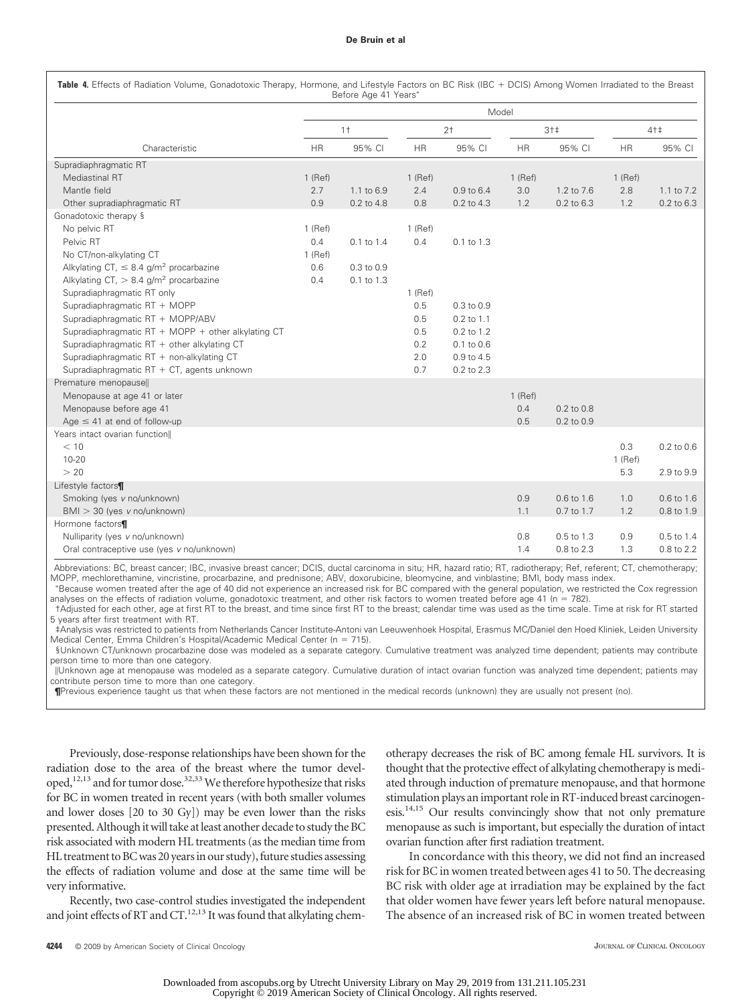#### **De Bruin et al**

|                                                         | Model     |            |           |                |           |            |           |                |  |
|---------------------------------------------------------|-----------|------------|-----------|----------------|-----------|------------|-----------|----------------|--|
|                                                         | $1+$      |            | $2+$      | $3+1$          |           | $4+1$      |           |                |  |
| Characteristic                                          | <b>HR</b> | 95% CI     | <b>HR</b> | 95% CI         | <b>HR</b> | 95% CI     | <b>HR</b> | 95% CI         |  |
| Supradiaphragmatic RT                                   |           |            |           |                |           |            |           |                |  |
| Mediastinal RT                                          | $1$ (Ref) |            | $1$ (Ref) |                | $1$ (Ref) |            | $1$ (Ref) |                |  |
| Mantle field                                            | 2.7       | 1.1 to 6.9 | 2.4       | 0.9 to 6.4     | 3.0       | 1.2 to 7.6 | 2.8       | 1.1 to 7.2     |  |
| Other supradiaphragmatic RT                             | 0.9       | 0.2 to 4.8 | 0.8       | 0.2 to 4.3     | 1.2       | 0.2 to 6.3 | 1.2       | $0.2$ to $6.3$ |  |
| Gonadotoxic therapy §                                   |           |            |           |                |           |            |           |                |  |
| No pelvic RT                                            | $1$ (Ref) |            | $1$ (Ref) |                |           |            |           |                |  |
| Pelvic RT                                               | 0.4       | 0.1 to 1.4 | 0.4       | 0.1 to 1.3     |           |            |           |                |  |
| No CT/non-alkylating CT                                 | $1$ (Ref) |            |           |                |           |            |           |                |  |
| Alkylating CT, $\leq 8.4$ g/m <sup>2</sup> procarbazine | 0.6       | 0.3 to 0.9 |           |                |           |            |           |                |  |
| Alkylating CT, $> 8.4$ g/m <sup>2</sup> procarbazine    | 0.4       | 0.1 to 1.3 |           |                |           |            |           |                |  |
| Supradiaphragmatic RT only                              |           |            | $1$ (Ref) |                |           |            |           |                |  |
| Supradiaphragmatic RT + MOPP                            |           |            | 0.5       | 0.3 to 0.9     |           |            |           |                |  |
| Supradiaphragmatic RT + MOPP/ABV                        |           |            | 0.5       | $0.2$ to $1.1$ |           |            |           |                |  |
| Supradiaphragmatic RT + MOPP + other alkylating CT      |           |            | 0.5       | 0.2 to 1.2     |           |            |           |                |  |
| Supradiaphragmatic $RT +$ other alkylating CT           |           |            | 0.2       | 0.1 to 0.6     |           |            |           |                |  |
| Supradiaphragmatic RT + non-alkylating CT               |           |            | 2.0       | 0.9 to 4.5     |           |            |           |                |  |
| Supradiaphragmatic RT + CT, agents unknown              |           |            | 0.7       | 0.2 to 2.3     |           |            |           |                |  |
| Premature menopause                                     |           |            |           |                |           |            |           |                |  |
| Menopause at age 41 or later                            |           |            |           |                | $1$ (Ref) |            |           |                |  |
| Menopause before age 41                                 |           |            |           |                | 0.4       | 0.2 to 0.8 |           |                |  |
| Age $\leq$ 41 at end of follow-up                       |           |            |           |                | 0.5       | 0.2 to 0.9 |           |                |  |
| Years intact ovarian function                           |           |            |           |                |           |            |           |                |  |
| < 10                                                    |           |            |           |                |           |            | 0.3       | 0.2 to 0.6     |  |
| $10 - 20$                                               |           |            |           |                |           |            | $1$ (Ref) |                |  |
| > 20                                                    |           |            |           |                |           |            | 5.3       | 2.9 to 9.9     |  |
| Lifestyle factors¶                                      |           |            |           |                |           |            |           |                |  |
| Smoking (yes v no/unknown)                              |           |            |           |                | 0.9       | 0.6 to 1.6 | 1.0       | 0.6 to 1.6     |  |
| $BMI > 30$ (yes v no/unknown)                           |           |            |           |                | 1.1       | 0.7 to 1.7 | 1.2       | 0.8 to 1.9     |  |
| Hormone factors¶                                        |           |            |           |                |           |            |           |                |  |
| Nulliparity (yes v no/unknown)                          |           |            |           |                | 0.8       | 0.5 to 1.3 | 0.9       | $0.5$ to $1.4$ |  |
| Oral contraceptive use (yes v no/unknown)               |           |            |           |                | 1.4       | 0.8 to 2.3 | 1.3       | 0.8 to 2.2     |  |

Abbreviations: BC, breast cancer; IBC, invasive breast cancer; DCIS, ductal carcinoma in situ; HR, hazard ratio; RT, radiotherapy; Ref, referent; CT, chemotherapy; MOPP, mechlorethamine, vincristine, procarbazine, and prednisone; ABV, doxorubicine, bleomycine, and vinblastine; BMI, body mass index.

 Because women treated after the age of 40 did not experience an increased risk for BC compared with the general population, we restricted the Cox regression analyses on the effects of radiation volume, gonadotoxic treatment, and other risk factors to women treated before age 41 (n = 782).

†Adjusted for each other, age at first RT to the breast, and time since first RT to the breast; calendar time was used as the time scale. Time at risk for RT started 5 years after first treatment with RT.

‡Analysis was restricted to patients from Netherlands Cancer Institute-Antoni van Leeuwenhoek Hospital, Erasmus MC/Daniel den Hoed Kliniek, Leiden University Medical Center, Emma Children's Hospital/Academic Medical Center (n = 715).

§Unknown CT/unknown procarbazine dose was modeled as a separate category. Cumulative treatment was analyzed time dependent; patients may contribute person time to more than one category.

-Unknown age at menopause was modeled as a separate category. Cumulative duration of intact ovarian function was analyzed time dependent; patients may contribute person time to more than one category.

**¶**Previous experience taught us that when these factors are not mentioned in the medical records (unknown) they are usually not present (no).

Previously, dose-response relationships have been shown for the radiation dose to the area of the breast where the tumor developed,<sup>12,13</sup> and for tumor dose.<sup>32,33</sup> We therefore hypothesize that risks for BC in women treated in recent years (with both smaller volumes and lower doses [20 to 30 Gy]) may be even lower than the risks presented. Although it will take at least another decade to study the BC risk associated with modern HL treatments (as the median time from HL treatment to BC was 20 years in our study), future studies assessing the effects of radiation volume and dose at the same time will be very informative.

Recently, two case-control studies investigated the independent and joint effects of RT and CT.<sup>12,13</sup> It was found that alkylating chemotherapy decreases the risk of BC among female HL survivors. It is thought that the protective effect of alkylating chemotherapy is mediated through induction of premature menopause, and that hormone stimulation plays an important role in RT-induced breast carcinogenesis.14,15 Our results convincingly show that not only premature menopause as such is important, but especially the duration of intact ovarian function after first radiation treatment.

In concordance with this theory, we did not find an increased risk for BC in women treated between ages 41 to 50. The decreasing BC risk with older age at irradiation may be explained by the fact that older women have fewer years left before natural menopause. The absence of an increased risk of BC in women treated between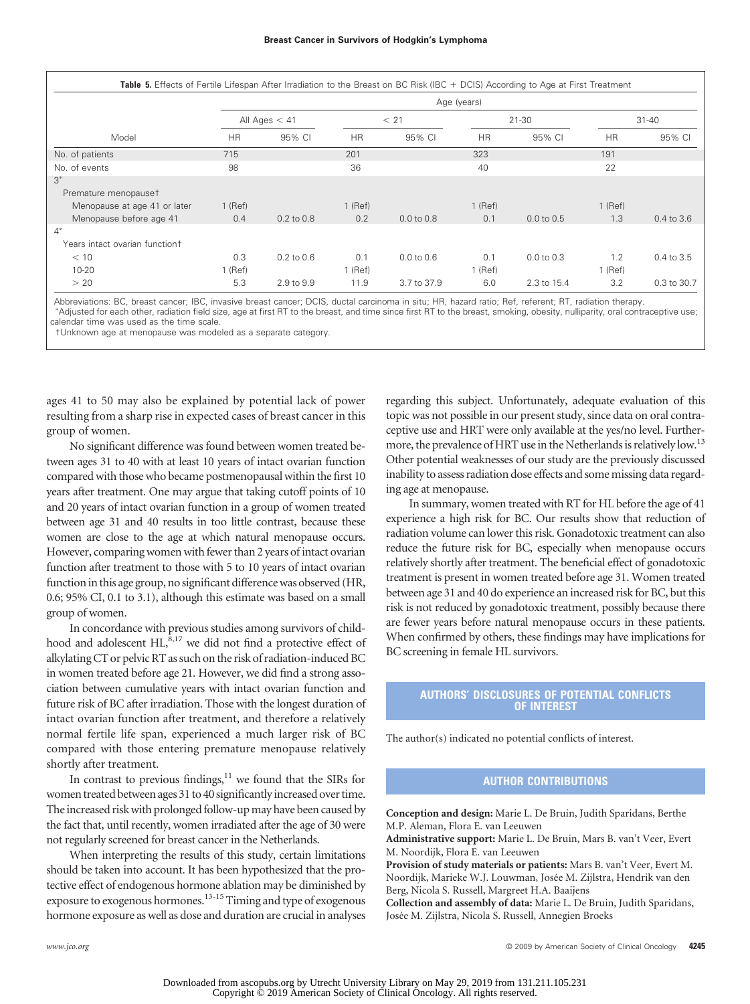|                                |           |                 |           |                       | Age (years) |                       |           |                |  |
|--------------------------------|-----------|-----------------|-----------|-----------------------|-------------|-----------------------|-----------|----------------|--|
|                                |           | All Ages $<$ 41 |           | < 21                  |             | $21 - 30$             |           | $31 - 40$      |  |
| Model                          | <b>HR</b> | 95% CI          | <b>HR</b> | 95% CI                | <b>HR</b>   | 95% CI                | <b>HR</b> | 95% CI         |  |
| No. of patients                | 715       |                 | 201       |                       | 323         |                       | 191       |                |  |
| No. of events                  | 98        |                 | 36        |                       | 40          |                       | 22        |                |  |
| $3*$                           |           |                 |           |                       |             |                       |           |                |  |
| Premature menopauset           |           |                 |           |                       |             |                       |           |                |  |
| Menopause at age 41 or later   | $1$ (Ref) |                 | $1$ (Ref) |                       | $1$ (Ref)   |                       | $1$ (Ref) |                |  |
| Menopause before age 41        | 0.4       | $0.2$ to $0.8$  | 0.2       | $0.0 \text{ to } 0.8$ | 0.1         | $0.0 \text{ to } 0.5$ | 1.3       | 0.4 to 3.6     |  |
| $4*$                           |           |                 |           |                       |             |                       |           |                |  |
| Years intact ovarian functiont |           |                 |           |                       |             |                       |           |                |  |
| < 10                           | 0.3       | $0.2$ to $0.6$  | 0.1       | $0.0 \text{ to } 0.6$ | 0.1         | $0.0 \text{ to } 0.3$ | 1.2       | $0.4$ to $3.5$ |  |
| $10 - 20$                      | 1 (Ref)   |                 | $1$ (Ref) |                       | $1$ (Ref)   |                       | $1$ (Ref) |                |  |
| > 20                           | 5.3       | 2.9 to 9.9      | 11.9      | 3.7 to 37.9           | 6.0         | 2.3 to 15.4           | 3.2       | 0.3 to 30.7    |  |

Abbreviations: BC, breast cancer; IBC, invasive breast cancer; DCIS, ductal carcinoma in situ; HR, hazard ratio; Ref, referent; RT, radiation therapy. Adjusted for each other, radiation field size, age at first RT to the breast, and time since first RT to the breast, smoking, obesity, nulliparity, oral contraceptive use;

calendar time was used as the time scale.

†Unknown age at menopause was modeled as a separate category.

ages 41 to 50 may also be explained by potential lack of power resulting from a sharp rise in expected cases of breast cancer in this group of women.

No significant difference was found between women treated between ages 31 to 40 with at least 10 years of intact ovarian function compared with those who became postmenopausal within the first 10 years after treatment. One may argue that taking cutoff points of 10 and 20 years of intact ovarian function in a group of women treated between age 31 and 40 results in too little contrast, because these women are close to the age at which natural menopause occurs. However, comparing women with fewer than 2 years of intact ovarian function after treatment to those with 5 to 10 years of intact ovarian function in this age group, no significant difference was observed (HR, 0.6; 95% CI, 0.1 to 3.1), although this estimate was based on a small group of women.

In concordance with previous studies among survivors of childhood and adolescent HL,<sup>8,17</sup> we did not find a protective effect of alkylating CT or pelvic RT as such on the risk of radiation-induced BC in women treated before age 21. However, we did find a strong association between cumulative years with intact ovarian function and future risk of BC after irradiation. Those with the longest duration of intact ovarian function after treatment, and therefore a relatively normal fertile life span, experienced a much larger risk of BC compared with those entering premature menopause relatively shortly after treatment.

In contrast to previous findings, $11$  we found that the SIRs for women treated between ages 31 to 40 significantly increased over time. The increased risk with prolonged follow-up may have been caused by the fact that, until recently, women irradiated after the age of 30 were not regularly screened for breast cancer in the Netherlands.

When interpreting the results of this study, certain limitations should be taken into account. It has been hypothesized that the protective effect of endogenous hormone ablation may be diminished by exposure to exogenous hormones.<sup>13-15</sup> Timing and type of exogenous hormone exposure as well as dose and duration are crucial in analyses regarding this subject. Unfortunately, adequate evaluation of this topic was not possible in our present study, since data on oral contraceptive use and HRT were only available at the yes/no level. Furthermore, the prevalence of HRT use in the Netherlands is relatively low.<sup>13</sup> Other potential weaknesses of our study are the previously discussed inability to assess radiation dose effects and some missing data regarding age at menopause.

In summary, women treated with RT for HL before the age of 41 experience a high risk for BC. Our results show that reduction of radiation volume can lower this risk. Gonadotoxic treatment can also reduce the future risk for BC, especially when menopause occurs relatively shortly after treatment. The beneficial effect of gonadotoxic treatment is present in women treated before age 31. Women treated between age 31 and 40 do experience an increased risk for BC, but this risk is not reduced by gonadotoxic treatment, possibly because there are fewer years before natural menopause occurs in these patients. When confirmed by others, these findings may have implications for BC screening in female HL survivors.

### **AUTHORS' DISCLOSURES OF POTENTIAL CONFLICTS OF INTEREST**

The author(s) indicated no potential conflicts of interest.

## **AUTHOR CONTRIBUTIONS**

**Conception and design:** Marie L. De Bruin, Judith Sparidans, Berthe M.P. Aleman, Flora E. van Leeuwen

**Administrative support:** Marie L. De Bruin, Mars B. van't Veer, Evert M. Noordijk, Flora E. van Leeuwen

**Provision of study materials or patients:** Mars B. van't Veer, Evert M. Noordijk, Marieke W.J. Louwman, Josée M. Zijlstra, Hendrik van den Berg, Nicola S. Russell, Margreet H.A. Baaijens

**Collection and assembly of data:** Marie L. De Bruin, Judith Sparidans, Josée M. Zijlstra, Nicola S. Russell, Annegien Broeks